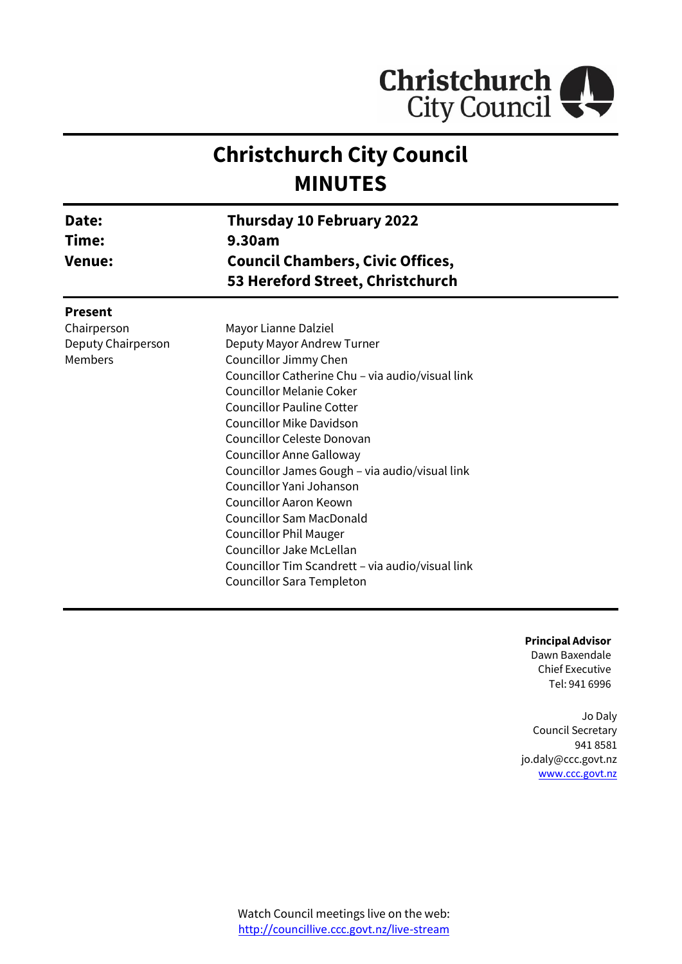

# **Christchurch City Council MINUTES**

| Date:<br>Time:<br><b>Venue:</b> | Thursday 10 February 2022<br>9.30am                                         |  |
|---------------------------------|-----------------------------------------------------------------------------|--|
|                                 | <b>Council Chambers, Civic Offices,</b><br>53 Hereford Street, Christchurch |  |
| <b>Present</b>                  |                                                                             |  |
| Chairperson                     | Mayor Lianne Dalziel                                                        |  |
| Deputy Chairperson              | Deputy Mayor Andrew Turner                                                  |  |
| Members                         | Councillor Jimmy Chen                                                       |  |
|                                 | Councillor Catherine Chu - via audio/visual link                            |  |
|                                 | <b>Councillor Melanie Coker</b>                                             |  |
|                                 | <b>Councillor Pauline Cotter</b>                                            |  |
|                                 | Councillor Mike Davidson                                                    |  |
|                                 | Councillor Celeste Donovan                                                  |  |
|                                 | Councillor Anne Galloway                                                    |  |
|                                 | Councillor James Gough – via audio/visual link                              |  |
|                                 | Councillor Yani Johanson                                                    |  |
|                                 | <b>Councillor Aaron Keown</b>                                               |  |
|                                 | <b>Councillor Sam MacDonald</b>                                             |  |
|                                 | <b>Councillor Phil Mauger</b>                                               |  |
|                                 | Councillor Jake McLellan                                                    |  |
|                                 | Councillor Tim Scandrett – via audio/visual link                            |  |
|                                 | Councillor Sara Templeton                                                   |  |
|                                 |                                                                             |  |

**Principal Advisor** Dawn Baxendale Chief Executive Tel: 941 6996

Jo Daly Council Secretary 941 8581 jo.daly@ccc.govt.nz [www.ccc.govt.nz](http://www.ccc.govt.nz/)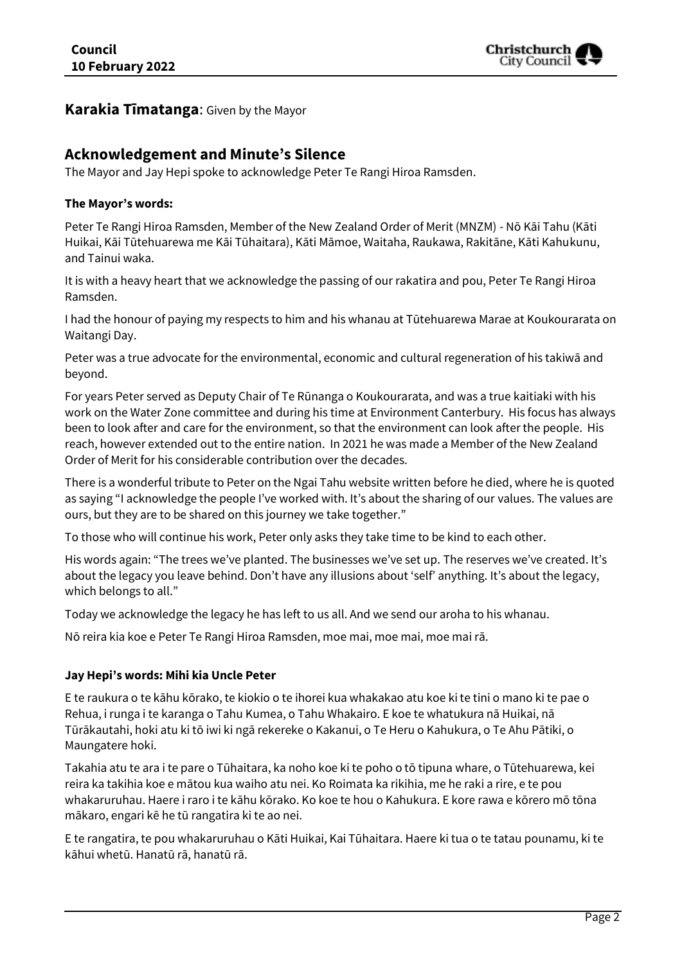

## **Karakia Tīmatanga**: Given by the Mayor

## **Acknowledgement and Minute's Silence**

The Mayor and Jay Hepi spoke to acknowledge Peter Te Rangi Hiroa Ramsden.

#### **The Mayor's words:**

Peter Te Rangi Hiroa Ramsden, Member of the New Zealand Order of Merit (MNZM) - Nō Kāi Tahu (Kāti Huikai, Kāi Tūtehuarewa me Kāi Tūhaitara), Kāti Māmoe, Waitaha, Raukawa, Rakitāne, Kāti Kahukunu, and Tainui waka.

It is with a heavy heart that we acknowledge the passing of our rakatira and pou, Peter Te Rangi Hiroa Ramsden.

I had the honour of paying my respects to him and his whanau at Tūtehuarewa Marae at Koukourarata on Waitangi Day.

Peter was a true advocate for the environmental, economic and cultural regeneration of his takiwā and beyond.

For years Peter served as Deputy Chair of Te Rūnanga o Koukourarata, and was a true kaitiaki with his work on the Water Zone committee and during his time at Environment Canterbury. His focus has always been to look after and care for the environment, so that the environment can look after the people. His reach, however extended out to the entire nation. In 2021 he was made a Member of the New Zealand Order of Merit for his considerable contribution over the decades.

There is a wonderful tribute to Peter on the Ngai Tahu website written before he died, where he is quoted as saying "I acknowledge the people I've worked with. It's about the sharing of our values. The values are ours, but they are to be shared on this journey we take together."

To those who will continue his work, Peter only asks they take time to be kind to each other.

His words again: "The trees we've planted. The businesses we've set up. The reserves we've created. It's about the legacy you leave behind. Don't have any illusions about 'self' anything. It's about the legacy, which belongs to all."

Today we acknowledge the legacy he has left to us all. And we send our aroha to his whanau.

Nō reira kia koe e Peter Te Rangi Hiroa Ramsden, moe mai, moe mai, moe mai rā.

#### **Jay Hepi's words: Mihi kia Uncle Peter**

E te raukura o te kāhu kōrako, te kiokio o te ihorei kua whakakao atu koe ki te tini o mano ki te pae o Rehua, i runga i te karanga o Tahu Kumea, o Tahu Whakairo. E koe te whatukura nā Huikai, nā Tūrākautahi, hoki atu ki tō iwi ki ngā rekereke o Kakanui, o Te Heru o Kahukura, o Te Ahu Pātiki, o Maungatere hoki.

Takahia atu te ara i te pare o Tūhaitara, ka noho koe ki te poho o tō tipuna whare, o Tūtehuarewa, kei reira ka takihia koe e mātou kua waiho atu nei. Ko Roimata ka rikihia, me he raki a rire, e te pou whakaruruhau. Haere i raro i te kāhu kōrako. Ko koe te hou o Kahukura. E kore rawa e kōrero mō tōna mākaro, engari kē he tū rangatira ki te ao nei.

E te rangatira, te pou whakaruruhau o Kāti Huikai, Kai Tūhaitara. Haere ki tua o te tatau pounamu, ki te kāhui whetū. Hanatū rā, hanatū rā.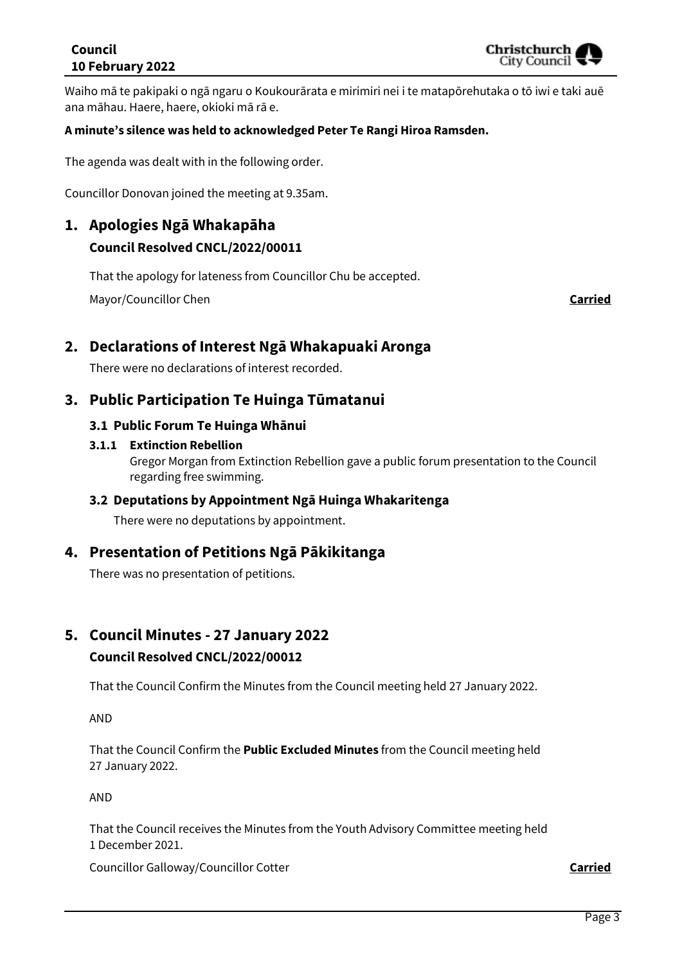## **Council 10 February 2022**

Waiho mā te pakipaki o ngā ngaru o Koukourārata e mirimiri nei i te matapōrehutaka o tō iwi e taki auē ana māhau. Haere, haere, okioki mā rā e.

### **A minute's silence was held to acknowledged Peter Te Rangi Hiroa Ramsden.**

The agenda was dealt with in the following order.

Councillor Donovan joined the meeting at 9.35am.

## **1. Apologies Ngā Whakapāha Council Resolved CNCL/2022/00011**

That the apology for lateness from Councillor Chu be accepted.

Mayor/Councillor Chen **Carried**

## **2. Declarations of Interest Ngā Whakapuaki Aronga**

There were no declarations of interest recorded.

## **3. Public Participation Te Huinga Tūmatanui**

### **3.1 Public Forum Te Huinga Whānui**

#### **3.1.1 Extinction Rebellion**

Gregor Morgan from Extinction Rebellion gave a public forum presentation to the Council regarding free swimming.

#### **3.2 Deputations by Appointment Ngā Huinga Whakaritenga**

There were no deputations by appointment.

## **4. Presentation of Petitions Ngā Pākikitanga**

There was no presentation of petitions.

## **5. Council Minutes - 27 January 2022**

## **Council Resolved CNCL/2022/00012**

That the Council Confirm the Minutes from the Council meeting held 27 January 2022.

AND

That the Council Confirm the **Public Excluded Minutes** from the Council meeting held 27 January 2022.

AND

That the Council receives the Minutes from the Youth Advisory Committee meeting held 1 December 2021.

Councillor Galloway/Councillor Cotter **Carried**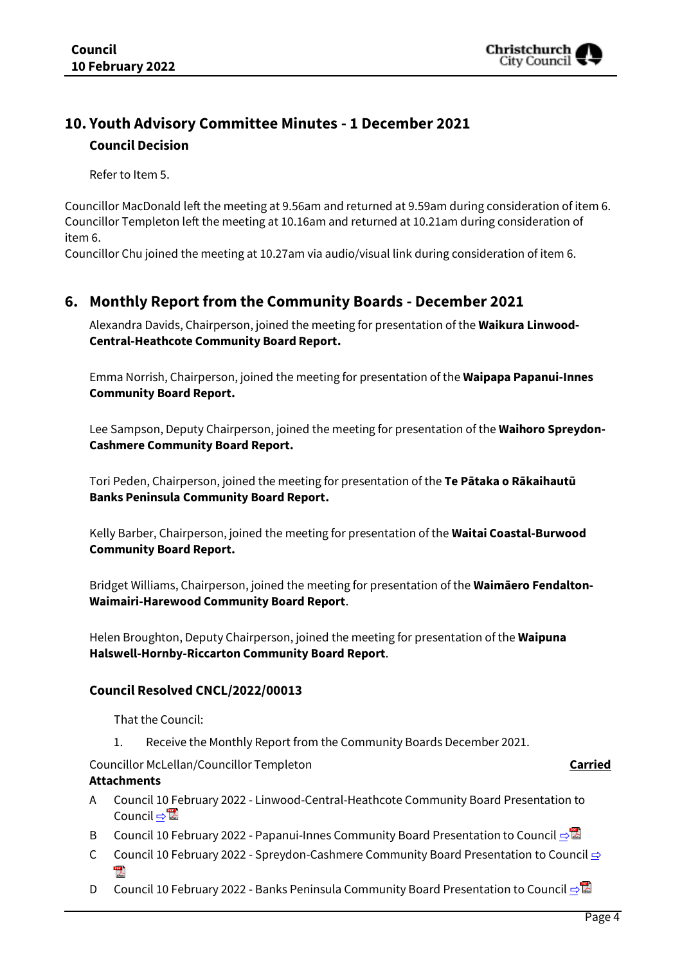

## **10. Youth Advisory Committee Minutes - 1 December 2021 Council Decision**

Refer to Item 5.

Councillor MacDonald left the meeting at 9.56am and returned at 9.59am during consideration of item 6. Councillor Templeton left the meeting at 10.16am and returned at 10.21am during consideration of item 6.

Councillor Chu joined the meeting at 10.27am via audio/visual link during consideration of item 6.

## **6. Monthly Report from the Community Boards - December 2021**

Alexandra Davids, Chairperson, joined the meeting for presentation of the **Waikura Linwood-Central-Heathcote Community Board Report.**

Emma Norrish, Chairperson, joined the meeting for presentation of the **Waipapa Papanui-Innes Community Board Report.**

Lee Sampson, Deputy Chairperson, joined the meeting for presentation of the **Waihoro Spreydon-Cashmere Community Board Report.**

Tori Peden, Chairperson, joined the meeting for presentation of the **Te Pātaka o Rākaihautū Banks Peninsula Community Board Report.**

Kelly Barber, Chairperson, joined the meeting for presentation of the **Waitai Coastal-Burwood Community Board Report.**

Bridget Williams, Chairperson, joined the meeting for presentation of the **Waimāero Fendalton-Waimairi-Harewood Community Board Report**.

Helen Broughton, Deputy Chairperson, joined the meeting for presentation of the **Waipuna Halswell-Hornby-Riccarton Community Board Report**.

#### **Council Resolved CNCL/2022/00013**

That the Council:

1. Receive the Monthly Report from the Community Boards December 2021.

Councillor McLellan/Councillor Templeton **Carried**

#### **Attachments**

- A Council 10 February 2022 Linwood-Central-Heathcote Community Board Presentation to Council ⇒
- B Council 10 February 2022 Papanui-Innes Community Board Presentation to Council [⇨](../../../RedirectToInvalidFileName.aspx?FileName=CNCL_20220210_MAT_7420.PDF#PAGE=7)
- C Council 10 February 2022 Spreydon-Cashmere Community Board Presentation to Council **[⇨](../../../RedirectToInvalidFileName.aspx?FileName=CNCL_20220210_MAT_7420.PDF#PAGE=13)**  $\overline{\phantom{a}}$
- D Council 10 February 2022 Banks Peninsula Community Board Presentation to Council [⇨](../../../RedirectToInvalidFileName.aspx?FileName=CNCL_20220210_MAT_7420.PDF#PAGE=18)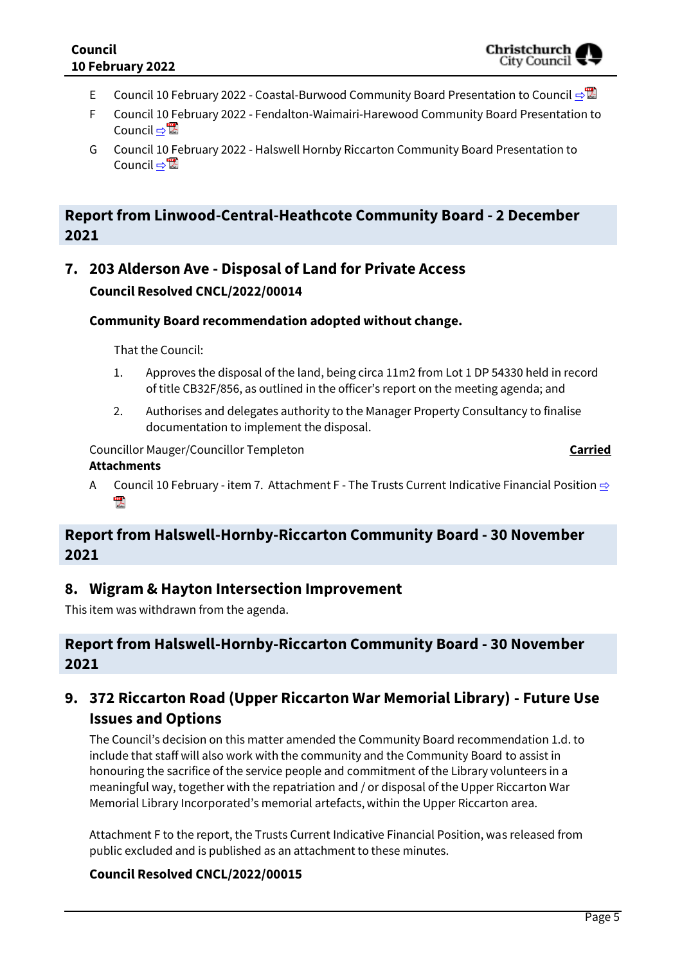- E Council 10 February 2022 Coastal-Burwood Community Board Presentation to Council **[⇨](../../../RedirectToInvalidFileName.aspx?FileName=CNCL_20220210_MAT_7420.PDF#PAGE=25)</u>**
- F Council 10 February 2022 Fendalton-Waimairi-Harewood Community Board Presentation to Council ⇔ a
- G Council 10 February 2022 Halswell Hornby Riccarton Community Board Presentation to Council ⇒

## **Report from Linwood-Central-Heathcote Community Board - 2 December 2021**

## **7. 203 Alderson Ave - Disposal of Land for Private Access Council Resolved CNCL/2022/00014**

## **Community Board recommendation adopted without change.**

That the Council:

- 1. Approves the disposal of the land, being circa 11m2 from Lot 1 DP 54330 held in record of title CB32F/856, as outlined in the officer's report on the meeting agenda; and
- 2. Authorises and delegates authority to the Manager Property Consultancy to finalise documentation to implement the disposal.

Councillor Mauger/Councillor Templeton **Carried**

### **Attachments**

A Council 10 February - item 7. Attachment F - The Trusts Current Indicative Financial Position  $\Rightarrow$ "人

## **Report from Halswell-Hornby-Riccarton Community Board - 30 November 2021**

## **8. Wigram & Hayton Intersection Improvement**

This item was withdrawn from the agenda.

## **Report from Halswell-Hornby-Riccarton Community Board - 30 November 2021**

## **9. 372 Riccarton Road (Upper Riccarton War Memorial Library) - Future Use Issues and Options**

The Council's decision on this matter amended the Community Board recommendation 1.d. to include that staff will also work with the community and the Community Board to assist in honouring the sacrifice of the service people and commitment of the Library volunteers in a meaningful way, together with the repatriation and / or disposal of the Upper Riccarton War Memorial Library Incorporated's memorial artefacts, within the Upper Riccarton area.

Attachment F to the report, the Trusts Current Indicative Financial Position, was released from public excluded and is published as an attachment to these minutes.

## **Council Resolved CNCL/2022/00015**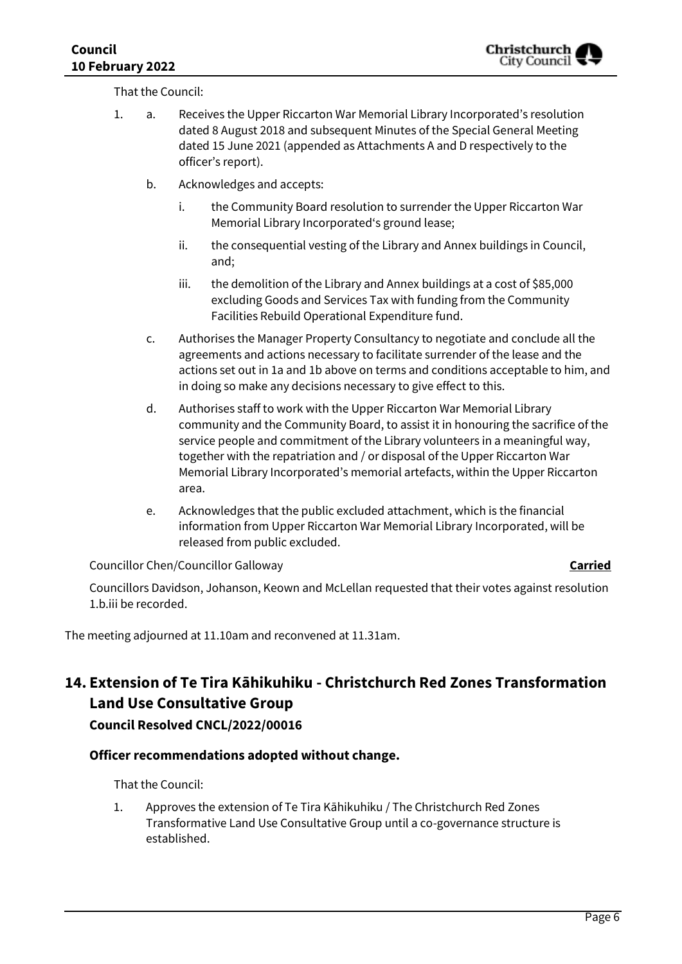That the Council:

- 1. a. Receives the Upper Riccarton War Memorial Library Incorporated's resolution dated 8 August 2018 and subsequent Minutes of the Special General Meeting dated 15 June 2021 (appended as Attachments A and D respectively to the officer's report).
	- b. Acknowledges and accepts:
		- i. the Community Board resolution to surrender the Upper Riccarton War Memorial Library Incorporated's ground lease;
		- ii. the consequential vesting of the Library and Annex buildings in Council, and;
		- iii. the demolition of the Library and Annex buildings at a cost of \$85,000 excluding Goods and Services Tax with funding from the Community Facilities Rebuild Operational Expenditure fund.
	- c. Authorises the Manager Property Consultancy to negotiate and conclude all the agreements and actions necessary to facilitate surrender of the lease and the actions set out in 1a and 1b above on terms and conditions acceptable to him, and in doing so make any decisions necessary to give effect to this.
	- d. Authorises staff to work with the Upper Riccarton War Memorial Library community and the Community Board, to assist it in honouring the sacrifice of the service people and commitment of the Library volunteers in a meaningful way, together with the repatriation and / or disposal of the Upper Riccarton War Memorial Library Incorporated's memorial artefacts, within the Upper Riccarton area.
	- e. Acknowledges that the public excluded attachment, which is the financial information from Upper Riccarton War Memorial Library Incorporated, will be released from public excluded.

Councillor Chen/Councillor Galloway **Carried**

Councillors Davidson, Johanson, Keown and McLellan requested that their votes against resolution 1.b.iii be recorded.

The meeting adjourned at 11.10am and reconvened at 11.31am.

# **14. Extension of Te Tira Kāhikuhiku - Christchurch Red Zones Transformation Land Use Consultative Group**

**Council Resolved CNCL/2022/00016**

## **Officer recommendations adopted without change.**

That the Council:

1. Approves the extension of Te Tira Kāhikuhiku / The Christchurch Red Zones Transformative Land Use Consultative Group until a co-governance structure is established.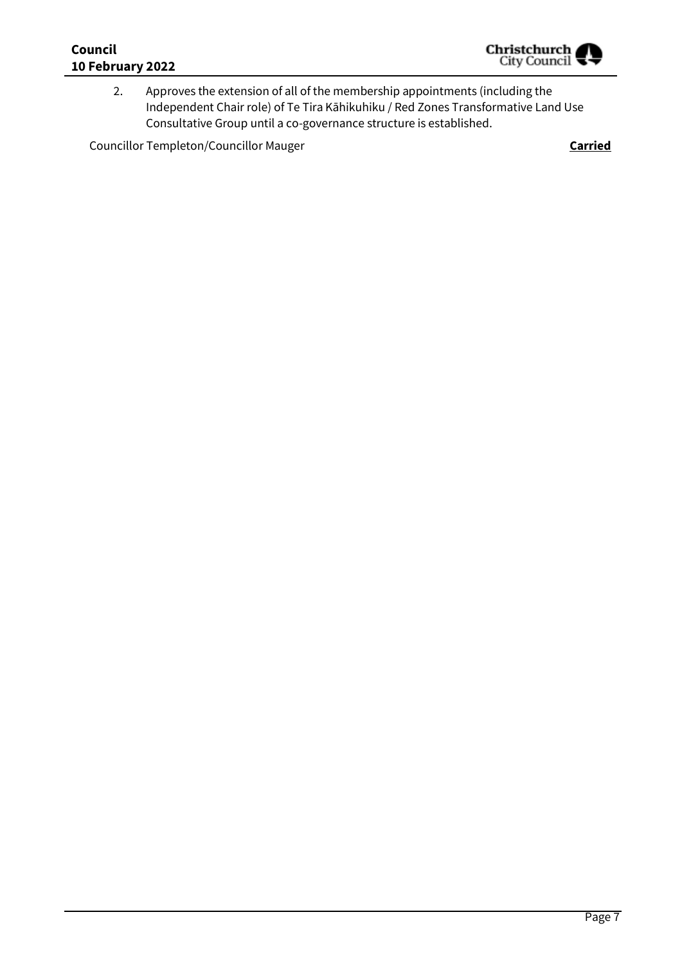## **Council 10 February 2022**



2. Approves the extension of all of the membership appointments (including the Independent Chair role) of Te Tira Kāhikuhiku / Red Zones Transformative Land Use Consultative Group until a co-governance structure is established.

Councillor Templeton/Councillor Mauger **Carried**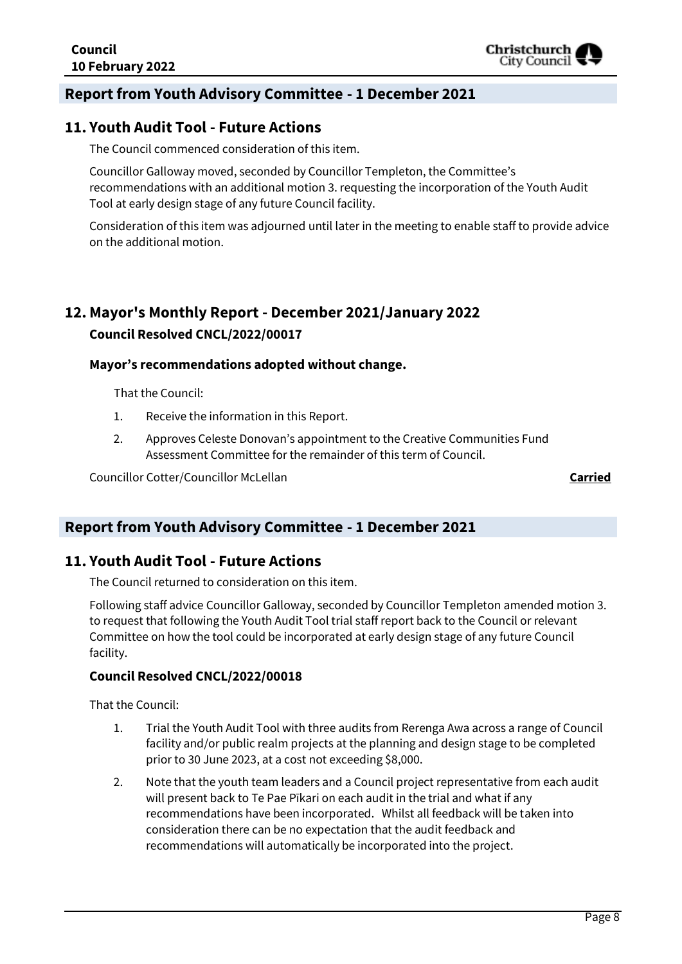## **Report from Youth Advisory Committee - 1 December 2021**

## **11. Youth Audit Tool - Future Actions**

The Council commenced consideration of this item.

Councillor Galloway moved, seconded by Councillor Templeton, the Committee's recommendations with an additional motion 3. requesting the incorporation of the Youth Audit Tool at early design stage of any future Council facility.

Consideration of this item was adjourned until later in the meeting to enable staff to provide advice on the additional motion.

## **12. Mayor's Monthly Report - December 2021/January 2022**

#### **Council Resolved CNCL/2022/00017**

#### **Mayor's recommendations adopted without change.**

That the Council:

- 1. Receive the information in this Report.
- 2. Approves Celeste Donovan's appointment to the Creative Communities Fund Assessment Committee for the remainder of this term of Council.

Councillor Cotter/Councillor McLellan **Carried**

## **Report from Youth Advisory Committee - 1 December 2021**

## **11. Youth Audit Tool - Future Actions**

The Council returned to consideration on this item.

Following staff advice Councillor Galloway, seconded by Councillor Templeton amended motion 3. to request that following the Youth Audit Tool trial staff report back to the Council or relevant Committee on how the tool could be incorporated at early design stage of any future Council facility.

#### **Council Resolved CNCL/2022/00018**

That the Council:

- 1. Trial the Youth Audit Tool with three audits from Rerenga Awa across a range of Council facility and/or public realm projects at the planning and design stage to be completed prior to 30 June 2023, at a cost not exceeding \$8,000.
- 2. Note that the youth team leaders and a Council project representative from each audit will present back to Te Pae Pīkari on each audit in the trial and what if any recommendations have been incorporated. Whilst all feedback will be taken into consideration there can be no expectation that the audit feedback and recommendations will automatically be incorporated into the project.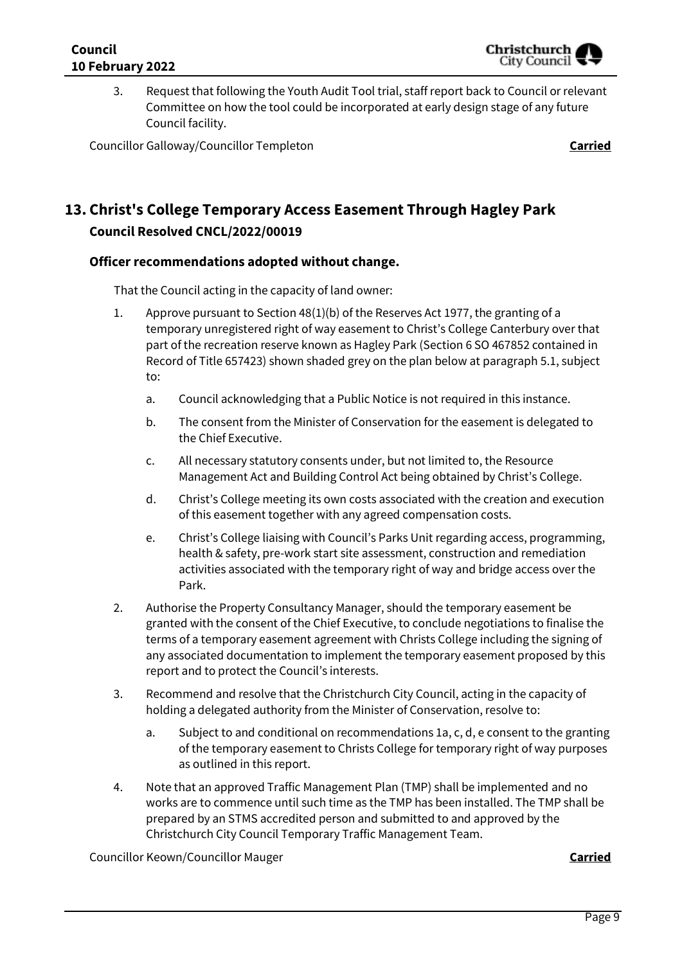3. Request that following the Youth Audit Tool trial, staff report back to Council or relevant Committee on how the tool could be incorporated at early design stage of any future Council facility.

Councillor Galloway/Councillor Templeton **Carried**

## **13. Christ's College Temporary Access Easement Through Hagley Park Council Resolved CNCL/2022/00019**

## **Officer recommendations adopted without change.**

That the Council acting in the capacity of land owner:

- 1. Approve pursuant to Section 48(1)(b) of the Reserves Act 1977, the granting of a temporary unregistered right of way easement to Christ's College Canterbury over that part of the recreation reserve known as Hagley Park (Section 6 SO 467852 contained in Record of Title 657423) shown shaded grey on the plan below at paragraph 5.1, subject to:
	- a. Council acknowledging that a Public Notice is not required in this instance.
	- b. The consent from the Minister of Conservation for the easement is delegated to the Chief Executive.
	- c. All necessary statutory consents under, but not limited to, the Resource Management Act and Building Control Act being obtained by Christ's College.
	- d. Christ's College meeting its own costs associated with the creation and execution of this easement together with any agreed compensation costs.
	- e. Christ's College liaising with Council's Parks Unit regarding access, programming, health & safety, pre-work start site assessment, construction and remediation activities associated with the temporary right of way and bridge access over the Park.
- 2. Authorise the Property Consultancy Manager, should the temporary easement be granted with the consent of the Chief Executive, to conclude negotiations to finalise the terms of a temporary easement agreement with Christs College including the signing of any associated documentation to implement the temporary easement proposed by this report and to protect the Council's interests.
- 3. Recommend and resolve that the Christchurch City Council, acting in the capacity of holding a delegated authority from the Minister of Conservation, resolve to:
	- a. Subject to and conditional on recommendations 1a, c, d, e consent to the granting of the temporary easement to Christs College for temporary right of way purposes as outlined in this report.
- 4. Note that an approved Traffic Management Plan (TMP) shall be implemented and no works are to commence until such time as the TMP has been installed. The TMP shall be prepared by an STMS accredited person and submitted to and approved by the Christchurch City Council Temporary Traffic Management Team.

Councillor Keown/Councillor Mauger **Carried**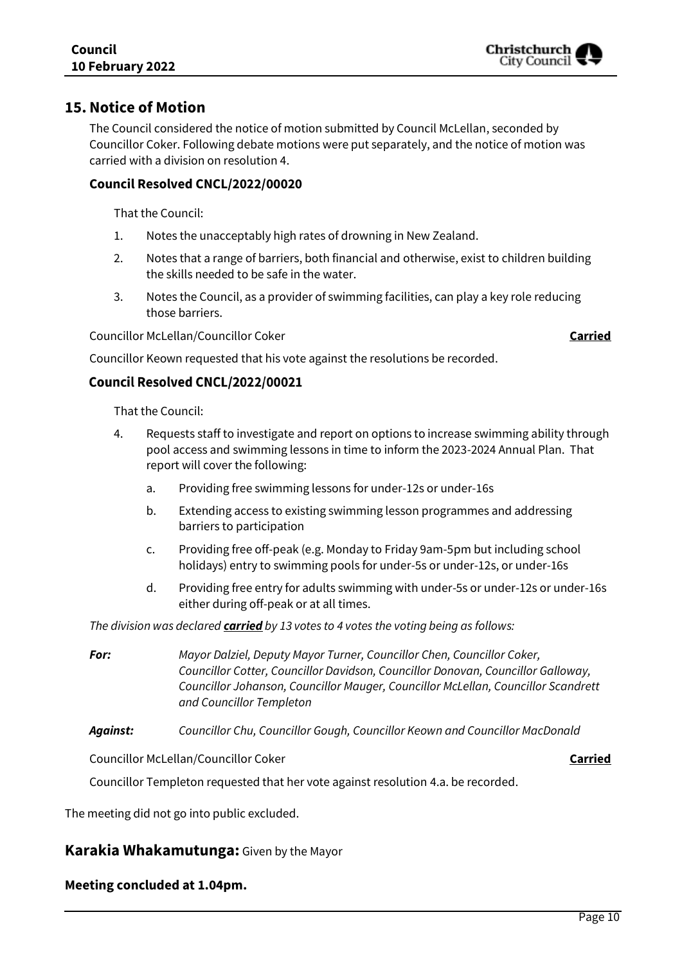## **15.Notice of Motion**

The Council considered the notice of motion submitted by Council McLellan, seconded by Councillor Coker. Following debate motions were put separately, and the notice of motion was carried with a division on resolution 4.

## **Council Resolved CNCL/2022/00020**

That the Council:

- 1. Notes the unacceptably high rates of drowning in New Zealand.
- 2. Notes that a range of barriers, both financial and otherwise, exist to children building the skills needed to be safe in the water.
- 3. Notes the Council, as a provider of swimming facilities, can play a key role reducing those barriers.

Councillor McLellan/Councillor Coker **Carried**

Councillor Keown requested that his vote against the resolutions be recorded.

## Council Resolved CNCL/2022/00021

That the Council:

- 4. Requests staff to investigate and report on options to increase swimming ability through pool access and swimming lessons in time to inform the 2023-2024 Annual Plan. That report will cover the following:
	- a. Providing free swimming lessons for under-12s or under-16s
	- b. Extending access to existing swimming lesson programmes and addressing barriers to participation
	- c. Providing free off-peak (e.g. Monday to Friday 9am-5pm but including school holidays) entry to swimming pools for under-5s or under-12s, or under-16s
	- d. Providing free entry for adults swimming with under-5s or under-12s or under-16s either during off-peak or at all times.

*The division was declared carried by 13 votes to 4 votes the voting being as follows:*

*For: Mayor Dalziel, Deputy Mayor Turner, Councillor Chen, Councillor Coker, Councillor Cotter, Councillor Davidson, Councillor Donovan, Councillor Galloway, Councillor Johanson, Councillor Mauger, Councillor McLellan, Councillor Scandrett and Councillor Templeton*

*Against: Councillor Chu, Councillor Gough, Councillor Keown and Councillor MacDonald*

Councillor McLellan/Councillor Coker **Carried**

Councillor Templeton requested that her vote against resolution 4.a. be recorded.

The meeting did not go into public excluded.

## **Karakia Whakamutunga:** Given by the Mayor

## **Meeting concluded at 1.04pm.**